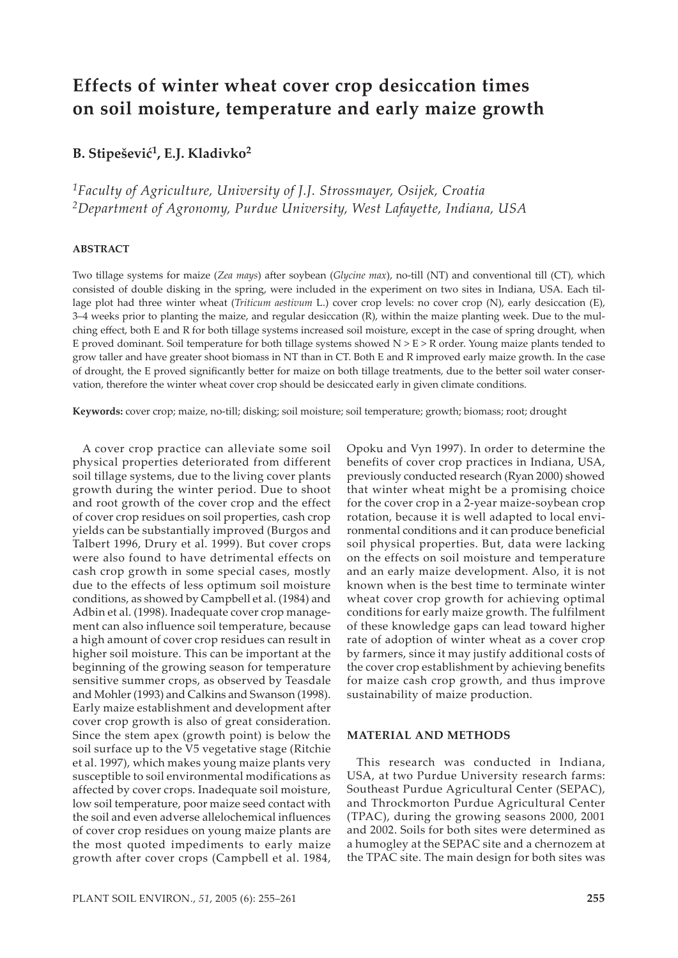# **Effects of winter wheat cover crop desiccation times on soil moisture, temperature and early maize growth**

# **B. Stipešević1, E.J. Kladivko2**

*1Faculty of Agriculture, University of J.J. Strossmayer, Osijek, Croatia 2Department of Agronomy, Purdue University, West Lafayette, Indiana, USA*

#### **ABSTRACT**

Two tillage systems for maize (*Zea mays*) a�er soybean (*Glycine max*), no-till (NT) and conventional till (CT), which consisted of double disking in the spring, were included in the experiment on two sites in Indiana, USA. Each tillage plot had three winter wheat (*Triticum aestivum* L.) cover crop levels: no cover crop (N), early desiccation (E), 3–4 weeks prior to planting the maize, and regular desiccation (R), within the maize planting week. Due to the mulching effect, both E and R for both tillage systems increased soil moisture, except in the case of spring drought, when E proved dominant. Soil temperature for both tillage systems showed  $N > E > R$  order. Young maize plants tended to grow taller and have greater shoot biomass in NT than in CT. Both E and R improved early maize growth. In the case of drought, the E proved significantly better for maize on both tillage treatments, due to the better soil water conservation, therefore the winter wheat cover crop should be desiccated early in given climate conditions.

**Keywords:** cover crop; maize, no-till; disking; soil moisture; soil temperature; growth; biomass; root; drought

A cover crop practice can alleviate some soil physical properties deteriorated from different soil tillage systems, due to the living cover plants growth during the winter period. Due to shoot and root growth of the cover crop and the effect of cover crop residues on soil properties, cash crop yields can be substantially improved (Burgos and Talbert 1996, Drury et al. 1999). But cover crops were also found to have detrimental effects on cash crop growth in some special cases, mostly due to the effects of less optimum soil moisture conditions, as showed by Campbell et al. (1984) and Adbin et al. (1998). Inadequate cover crop management can also influence soil temperature, because a high amount of cover crop residues can result in higher soil moisture. This can be important at the beginning of the growing season for temperature sensitive summer crops, as observed by Teasdale and Mohler (1993) and Calkins and Swanson (1998). Early maize establishment and development after cover crop growth is also of great consideration. Since the stem apex (growth point) is below the soil surface up to the V5 vegetative stage (Ritchie et al. 1997), which makes young maize plants very susceptible to soil environmental modifications as affected by cover crops. Inadequate soil moisture, low soil temperature, poor maize seed contact with the soil and even adverse allelochemical influences of cover crop residues on young maize plants are the most quoted impediments to early maize growth after cover crops (Campbell et al. 1984,

Opoku and Vyn 1997). In order to determine the benefits of cover crop practices in Indiana, USA, previously conducted research (Ryan 2000) showed that winter wheat might be a promising choice for the cover crop in a 2-year maize-soybean crop rotation, because it is well adapted to local environmental conditions and it can produce beneficial soil physical properties. But, data were lacking on the effects on soil moisture and temperature and an early maize development. Also, it is not known when is the best time to terminate winter wheat cover crop growth for achieving optimal conditions for early maize growth. The fulfilment of these knowledge gaps can lead toward higher rate of adoption of winter wheat as a cover crop by farmers, since it may justify additional costs of the cover crop establishment by achieving benefits for maize cash crop growth, and thus improve sustainability of maize production.

#### **MATERIAL AND METHODS**

This research was conducted in Indiana, USA, at two Purdue University research farms: Southeast Purdue Agricultural Center (SEPAC), and Throckmorton Purdue Agricultural Center (TPAC), during the growing seasons 2000, 2001 and 2002. Soils for both sites were determined as a humogley at the SEPAC site and a chernozem at the TPAC site. The main design for both sites was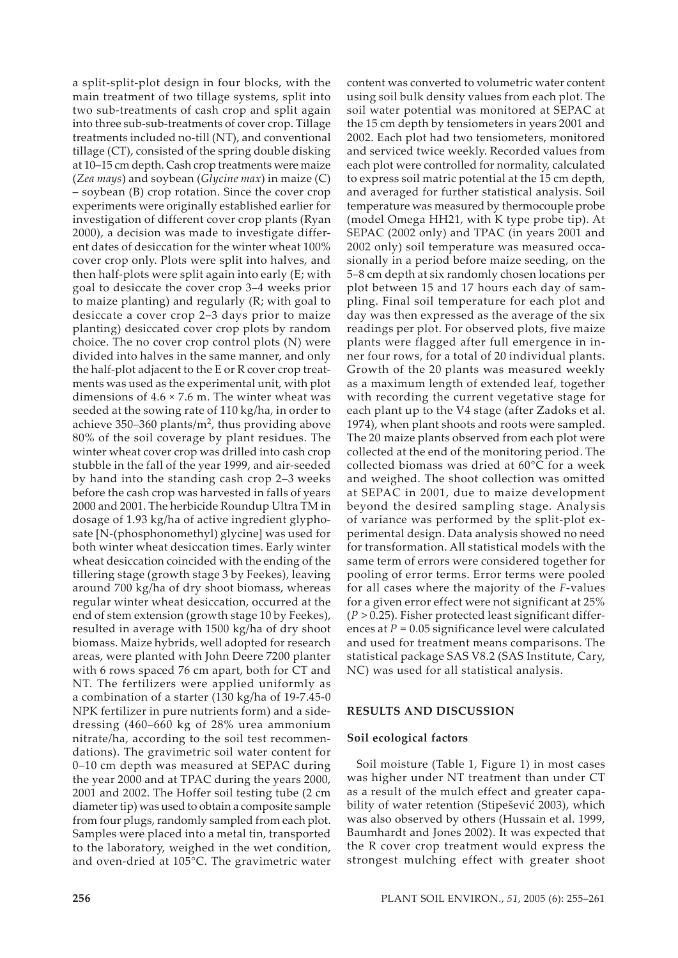a split-split-plot design in four blocks, with the main treatment of two tillage systems, split into two sub-treatments of cash crop and split again into three sub-sub-treatments of cover crop. Tillage treatments included no-till (NT), and conventional tillage (CT), consisted of the spring double disking at 10–15 cm depth. Cash crop treatments were maize (*Zea mays*) and soybean (*Glycine max*) in maize (C) – soybean (B) crop rotation. Since the cover crop experiments were originally established earlier for investigation of different cover crop plants (Ryan 2000), a decision was made to investigate different dates of desiccation for the winter wheat 100% cover crop only. Plots were split into halves, and then half-plots were split again into early (E; with goal to desiccate the cover crop 3–4 weeks prior to maize planting) and regularly (R; with goal to desiccate a cover crop 2–3 days prior to maize planting) desiccated cover crop plots by random choice. The no cover crop control plots (N) were divided into halves in the same manner, and only the half-plot adjacent to the E or R cover crop treatments was used as the experimental unit, with plot dimensions of 4.6 × 7.6 m. The winter wheat was seeded at the sowing rate of 110 kg/ha, in order to achieve 350–360 plants/ $m<sup>2</sup>$ , thus providing above 80% of the soil coverage by plant residues. The winter wheat cover crop was drilled into cash crop stubble in the fall of the year 1999, and air-seeded by hand into the standing cash crop 2–3 weeks before the cash crop was harvested in falls of years 2000 and 2001. The herbicide Roundup Ultra TM in dosage of 1.93 kg/ha of active ingredient glyphosate [N-(phosphonomethyl) glycine] was used for both winter wheat desiccation times. Early winter wheat desiccation coincided with the ending of the tillering stage (growth stage 3 by Feekes), leaving around 700 kg/ha of dry shoot biomass, whereas regular winter wheat desiccation, occurred at the end of stem extension (growth stage 10 by Feekes), resulted in average with 1500 kg/ha of dry shoot biomass. Maize hybrids, well adopted for research areas, were planted with John Deere 7200 planter with 6 rows spaced 76 cm apart, both for CT and NT. The fertilizers were applied uniformly as a combination of a starter (130 kg/ha of 19-7.45-0 NPK fertilizer in pure nutrients form) and a sidedressing (460–660 kg of 28% urea ammonium nitrate/ha, according to the soil test recommendations). The gravimetric soil water content for 0–10 cm depth was measured at SEPAC during the year 2000 and at TPAC during the years 2000, 2001 and 2002. The Hoffer soil testing tube (2 cm diameter tip) was used to obtain a composite sample from four plugs, randomly sampled from each plot. Samples were placed into a metal tin, transported to the laboratory, weighed in the wet condition, and oven-dried at 105°C. The gravimetric water content was converted to volumetric water content using soil bulk density values from each plot. The soil water potential was monitored at SEPAC at the 15 cm depth by tensiometers in years 2001 and 2002. Each plot had two tensiometers, monitored and serviced twice weekly. Recorded values from each plot were controlled for normality, calculated to express soil matric potential at the 15 cm depth, and averaged for further statistical analysis. Soil temperature was measured by thermocouple probe (model Omega HH21, with K type probe tip). At SEPAC (2002 only) and TPAC (in years 2001 and 2002 only) soil temperature was measured occasionally in a period before maize seeding, on the 5–8 cm depth at six randomly chosen locations per plot between 15 and 17 hours each day of sampling. Final soil temperature for each plot and day was then expressed as the average of the six readings per plot. For observed plots, five maize plants were flagged after full emergence in inner four rows, for a total of 20 individual plants. Growth of the 20 plants was measured weekly as a maximum length of extended leaf, together with recording the current vegetative stage for each plant up to the V4 stage (after Zadoks et al. 1974), when plant shoots and roots were sampled. The 20 maize plants observed from each plot were collected at the end of the monitoring period. The collected biomass was dried at 60°C for a week and weighed. The shoot collection was omitted at SEPAC in 2001, due to maize development beyond the desired sampling stage. Analysis of variance was performed by the split-plot experimental design. Data analysis showed no need for transformation. All statistical models with the same term of errors were considered together for pooling of error terms. Error terms were pooled for all cases where the majority of the *F*-values for a given error effect were not significant at 25% (*P* > 0.25). Fisher protected least significant differences at *P* = 0.05 significance level were calculated and used for treatment means comparisons. The statistical package SAS V8.2 (SAS Institute, Cary, NC) was used for all statistical analysis.

#### **RESULTS AND DISCUSSION**

#### **Soil ecological factors**

Soil moisture (Table 1, Figure 1) in most cases was higher under NT treatment than under CT as a result of the mulch effect and greater capability of water retention (Stipešević 2003), which was also observed by others (Hussain et al. 1999, Baumhardt and Jones 2002). It was expected that the R cover crop treatment would express the strongest mulching effect with greater shoot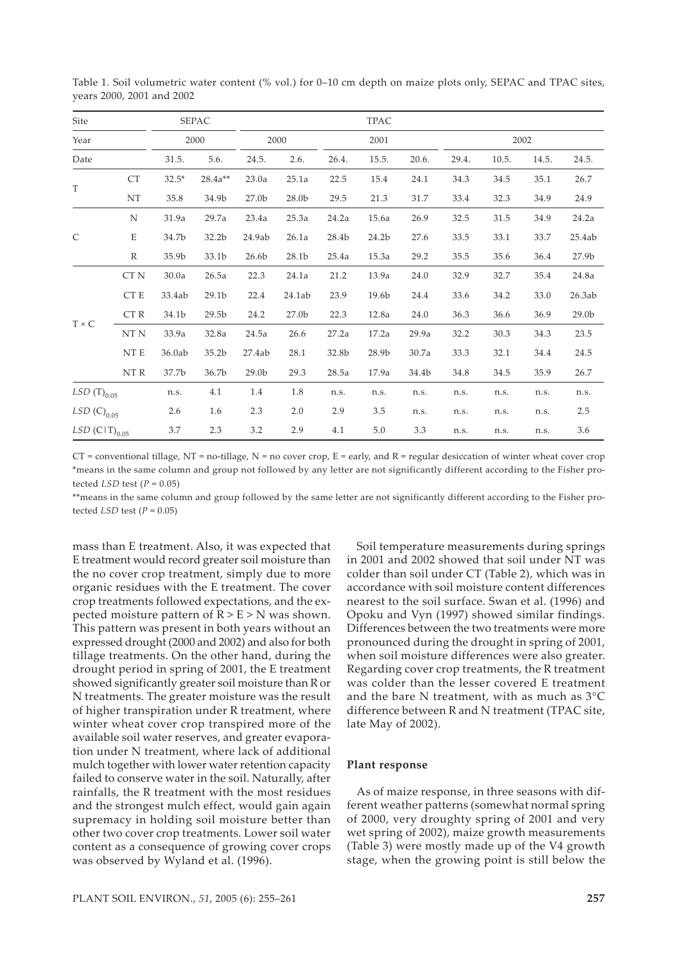| Site                      |                                | SEPAC   |                   |                   |                   | <b>TPAC</b> |       |       |       |       |       |                   |
|---------------------------|--------------------------------|---------|-------------------|-------------------|-------------------|-------------|-------|-------|-------|-------|-------|-------------------|
| Year                      |                                | 2000    |                   | 2000              |                   | 2001        |       |       | 2002  |       |       |                   |
| Date                      |                                | 31.5.   | 5.6.              | 24.5.             | 2.6.              | 26.4.       | 15.5. | 20.6. | 29.4. | 10.5. | 14.5. | 24.5.             |
| $\mathbf T$               | <b>CT</b>                      | $32.5*$ | 28.4a**           | 23.0a             | 25.1a             | 22.5        | 15.4  | 24.1  | 34.3  | 34.5  | 35.1  | 26.7              |
|                           | NT                             | 35.8    | 34.9b             | 27.0 <sub>b</sub> | 28.0 <sub>b</sub> | 29.5        | 21.3  | 31.7  | 33.4  | 32.3  | 34.9  | 24.9              |
|                           | N                              | 31.9a   | 29.7a             | 23.4a             | 25.3a             | 24.2a       | 15.6a | 26.9  | 32.5  | 31.5  | 34.9  | 24.2a             |
| $\mathsf C$               | E                              | 34.7b   | 32.2b             | 24.9ab            | 26.1a             | 28.4b       | 24.2b | 27.6  | 33.5  | 33.1  | 33.7  | 25.4ab            |
|                           | $\mathbb R$                    | 35.9b   | 33.1b             | 26.6 <sub>b</sub> | 28.1b             | 25.4a       | 15.3a | 29.2  | 35.5  | 35.6  | 36.4  | 27.9b             |
|                           | CT <sub>N</sub>                | 30.0a   | 26.5a             | 22.3              | 24.1a             | 21.2        | 13.9a | 24.0  | 32.9  | 32.7  | 35.4  | 24.8a             |
|                           | CT E                           | 33.4ab  | 29.1 <sub>b</sub> | 22.4              | 24.1ab            | 23.9        | 19.6b | 24.4  | 33.6  | 34.2  | 33.0  | 26.3ab            |
|                           | CT R                           | 34.1b   | 29.5 <sub>b</sub> | 24.2              | 27.0 <sub>b</sub> | 22.3        | 12.8a | 24.0  | 36.3  | 36.6  | 36.9  | 29.0 <sub>b</sub> |
| $T \times C$              | NT <sub>N</sub>                | 33.9a   | 32.8a             | 24.5a             | 26.6              | 27.2a       | 17.2a | 29.9a | 32.2  | 30.3  | 34.3  | 23.5              |
|                           | NT E                           | 36.0ab  | 35.2 <sub>b</sub> | 27.4ab            | 28.1              | 32.8b       | 28.9b | 30.7a | 33.3  | 32.1  | 34.4  | 24.5              |
|                           | NT R                           | 37.7b   | 36.7b             | 29.0 <sub>b</sub> | 29.3              | 28.5a       | 17.9a | 34.4b | 34.8  | 34.5  | 35.9  | 26.7              |
| $LSD(T)_{0.05}$           |                                | n.s.    | 4.1               | 1.4               | 1.8               | n.s.        | n.s.  | n.s.  | n.s.  | n.s.  | n.s.  | n.s.              |
| $LSD$ (C) <sub>0.05</sub> |                                | 2.6     | 1.6               | 2.3               | 2.0               | 2.9         | 3.5   | n.s.  | n.s.  | n.s.  | n.s.  | 2.5               |
|                           | $LSD$ (C $T$ ) <sub>0.05</sub> |         | 2.3               | 3.2               | 2.9               | 4.1         | 5.0   | 3.3   | n.s.  | n.s.  | n.s.  | 3.6               |

Table 1. Soil volumetric water content (% vol.) for 0–10 cm depth on maize plots only, SEPAC and TPAC sites, years 2000, 2001 and 2002

 $CT$  = conventional tillage, NT = no-tillage, N = no cover crop, E = early, and R = regular desiccation of winter wheat cover crop \*means in the same column and group not followed by any letter are not significantly different according to the Fisher protected *LSD* test  $(P = 0.05)$ 

\*\*means in the same column and group followed by the same letter are not significantly different according to the Fisher protected *LSD* test  $(P = 0.05)$ 

mass than E treatment. Also, it was expected that E treatment would record greater soil moisture than the no cover crop treatment, simply due to more organic residues with the E treatment. The cover crop treatments followed expectations, and the expected moisture pattern of  $R > E > N$  was shown. This pattern was present in both years without an expressed drought (2000 and 2002) and also for both tillage treatments. On the other hand, during the drought period in spring of 2001, the E treatment showed significantly greater soil moisture than R or N treatments. The greater moisture was the result of higher transpiration under R treatment, where winter wheat cover crop transpired more of the available soil water reserves, and greater evaporation under N treatment, where lack of additional mulch together with lower water retention capacity failed to conserve water in the soil. Naturally, after rainfalls, the R treatment with the most residues and the strongest mulch effect, would gain again supremacy in holding soil moisture better than other two cover crop treatments. Lower soil water content as a consequence of growing cover crops was observed by Wyland et al. (1996).

Soil temperature measurements during springs in 2001 and 2002 showed that soil under NT was colder than soil under CT (Table 2), which was in accordance with soil moisture content differences nearest to the soil surface. Swan et al. (1996) and Opoku and Vyn (1997) showed similar findings. Differences between the two treatments were more pronounced during the drought in spring of 2001, when soil moisture differences were also greater. Regarding cover crop treatments, the R treatment was colder than the lesser covered E treatment and the bare N treatment, with as much as 3°C difference between R and N treatment (TPAC site, late May of 2002).

#### **Plant response**

As of maize response, in three seasons with different weather patterns (somewhat normal spring of 2000, very droughty spring of 2001 and very wet spring of 2002), maize growth measurements (Table 3) were mostly made up of the V4 growth stage, when the growing point is still below the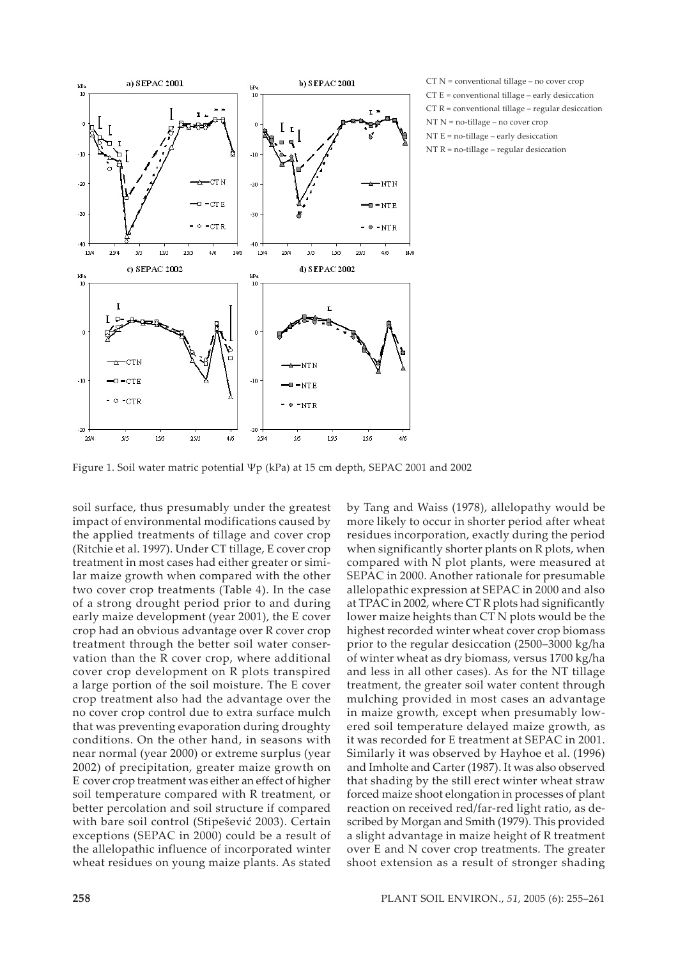

CT N = conventional tillage – no cover crop CT E = conventional tillage – early desiccation  $CT R =$  conventional tillage – regular desiccation NT N = no-tillage – no cover crop NT E = no-tillage – early desiccation NT R = no-tillage – regular desiccation

Figure 1. Soil water matric potential Ψp (kPa) at 15 cm depth, SEPAC 2001 and 2002

soil surface, thus presumably under the greatest impact of environmental modifications caused by the applied treatments of tillage and cover crop (Ritchie et al. 1997). Under CT tillage, E cover crop treatment in most cases had either greater or similar maize growth when compared with the other two cover crop treatments (Table 4). In the case of a strong drought period prior to and during early maize development (year 2001), the E cover crop had an obvious advantage over R cover crop treatment through the better soil water conservation than the R cover crop, where additional cover crop development on R plots transpired a large portion of the soil moisture. The E cover crop treatment also had the advantage over the no cover crop control due to extra surface mulch that was preventing evaporation during droughty conditions. On the other hand, in seasons with near normal (year 2000) or extreme surplus (year 2002) of precipitation, greater maize growth on E cover crop treatment was either an effect of higher soil temperature compared with R treatment, or better percolation and soil structure if compared with bare soil control (Stipešević 2003). Certain exceptions (SEPAC in 2000) could be a result of the allelopathic influence of incorporated winter wheat residues on young maize plants. As stated by Tang and Waiss (1978), allelopathy would be more likely to occur in shorter period after wheat residues incorporation, exactly during the period when significantly shorter plants on R plots, when compared with N plot plants, were measured at SEPAC in 2000. Another rationale for presumable allelopathic expression at SEPAC in 2000 and also at TPAC in 2002, where CT R plots had significantly lower maize heights than CT N plots would be the highest recorded winter wheat cover crop biomass prior to the regular desiccation (2500–3000 kg/ha of winter wheat as dry biomass, versus 1700 kg/ha and less in all other cases). As for the NT tillage treatment, the greater soil water content through mulching provided in most cases an advantage in maize growth, except when presumably lowered soil temperature delayed maize growth, as it was recorded for E treatment at SEPAC in 2001. Similarly it was observed by Hayhoe et al. (1996) and Imholte and Carter (1987). It was also observed that shading by the still erect winter wheat straw forced maize shoot elongation in processes of plant reaction on received red/far-red light ratio, as described by Morgan and Smith (1979). This provided a slight advantage in maize height of R treatment over E and N cover crop treatments. The greater shoot extension as a result of stronger shading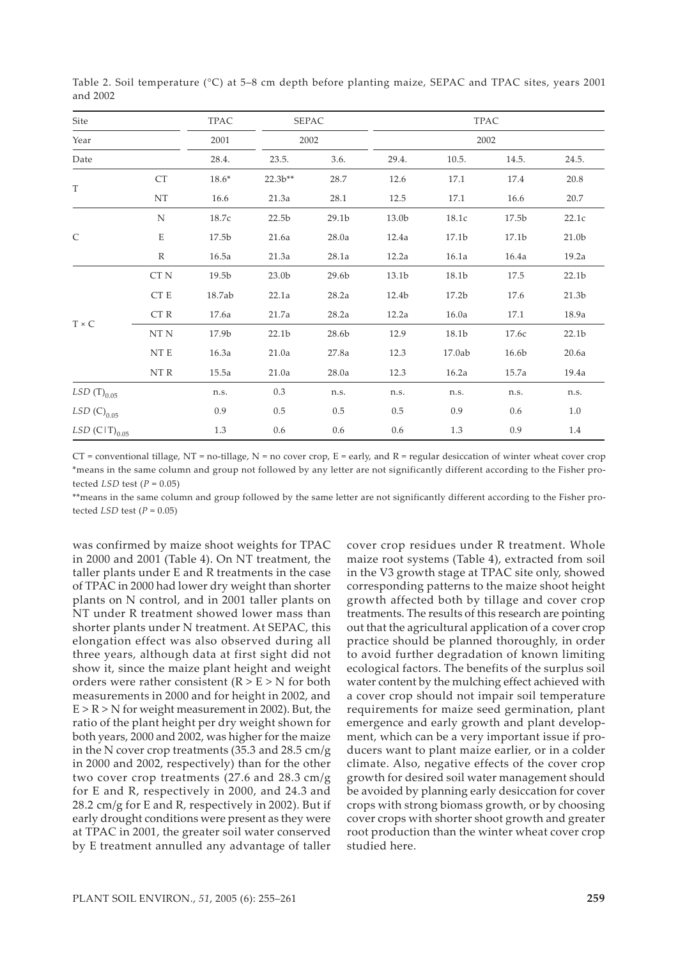| Site                           |                 | TPAC              | <b>SEPAC</b>      |                   |         | <b>TPAC</b> |                   |                   |  |  |  |  |
|--------------------------------|-----------------|-------------------|-------------------|-------------------|---------|-------------|-------------------|-------------------|--|--|--|--|
| Year                           |                 | 2001              | 2002              |                   |         |             | 2002              |                   |  |  |  |  |
| Date                           |                 | 28.4.             | 23.5.             | 3.6.              | 29.4.   | 10.5.       | 14.5.             | 24.5.             |  |  |  |  |
|                                | <b>CT</b>       | $18.6*$           | 22.3b**           | 28.7              | 12.6    | 17.1        | 17.4              | 20.8              |  |  |  |  |
| $\mathbf T$                    | NT              | 16.6              | 21.3a             | 28.1              | 12.5    | 17.1        | 16.6              | 20.7              |  |  |  |  |
|                                | $\mathbf N$     | 18.7c             | 22.5 <sub>b</sub> | 29.1 <sub>b</sub> | 13.0b   | 18.1c       | 17.5b             | 22.1c             |  |  |  |  |
| C                              | E               | 17.5 <sub>b</sub> | 21.6a             | 28.0a             | 12.4a   | 17.1b       | 17.1 <sub>b</sub> | 21.0 <sub>b</sub> |  |  |  |  |
|                                | $\mathbb{R}$    | 16.5a             | 21.3a             | 28.1a             | 12.2a   | 16.1a       | 16.4a             | 19.2a             |  |  |  |  |
|                                | CT N            | 19.5 <sub>b</sub> | 23.0 <sub>b</sub> | 29.6 <sub>b</sub> | 13.1b   | 18.1b       | 17.5              | 22.1 <sub>b</sub> |  |  |  |  |
|                                | CT E            | 18.7ab            | 22.1a             | 28.2a             | 12.4b   | 17.2b       | 17.6              | 21.3 <sub>b</sub> |  |  |  |  |
|                                | CT R            | 17.6a             | 21.7a             | 28.2a             | 12.2a   | 16.0a       | 17.1              | 18.9a             |  |  |  |  |
| $T \times C$                   | NT <sub>N</sub> | 17.9b             | 22.1 <sub>b</sub> | 28.6b             | 12.9    | 18.1b       | 17.6c             | 22.1 <sub>b</sub> |  |  |  |  |
|                                | NT E            | 16.3a             | 21.0a             | 27.8a             | 12.3    | 17.0ab      | 16.6b             | 20.6a             |  |  |  |  |
|                                | NT R            | 15.5a             | 21.0a             | 28.0a             | 12.3    | 16.2a       | 15.7a             | 19.4a             |  |  |  |  |
| $LSD$ $\mathrm{(T)_{0.05}}$    |                 | n.s.              | 0.3               | n.s.              | n.s.    | n.s.        | n.s.              | n.s.              |  |  |  |  |
| $LSD$ (C) <sub>0.05</sub>      |                 | 0.9               | 0.5               | 0.5               | $0.5\,$ | 0.9         | 0.6               | 1.0               |  |  |  |  |
| $LSD$ (C $T$ ) <sub>0.05</sub> |                 | 1.3               | 0.6               | 0.6               | $0.6\,$ | 1.3         | 0.9               | 1.4               |  |  |  |  |

Table 2. Soil temperature (°C) at 5–8 cm depth before planting maize, SEPAC and TPAC sites, years 2001 and 2002

 $CT$  = conventional tillage,  $NT$  = no-tillage,  $N$  = no cover crop,  $E$  = early, and  $R$  = regular desiccation of winter wheat cover crop \*means in the same column and group not followed by any letter are not significantly different according to the Fisher protected *LSD* test  $(P = 0.05)$ 

\*\*means in the same column and group followed by the same letter are not significantly different according to the Fisher protected *LSD* test  $(P = 0.05)$ 

was confirmed by maize shoot weights for TPAC in 2000 and 2001 (Table 4). On NT treatment, the taller plants under E and R treatments in the case of TPAC in 2000 had lower dry weight than shorter plants on N control, and in 2001 taller plants on NT under R treatment showed lower mass than shorter plants under N treatment. At SEPAC, this elongation effect was also observed during all three years, although data at first sight did not show it, since the maize plant height and weight orders were rather consistent  $(R > E > N$  for both measurements in 2000 and for height in 2002, and  $E > R > N$  for weight measurement in 2002). But, the ratio of the plant height per dry weight shown for both years, 2000 and 2002, was higher for the maize in the N cover crop treatments (35.3 and 28.5 cm/g in 2000 and 2002, respectively) than for the other two cover crop treatments (27.6 and 28.3 cm/g for E and R, respectively in 2000, and 24.3 and 28.2 cm/g for E and R, respectively in 2002). But if early drought conditions were present as they were at TPAC in 2001, the greater soil water conserved by E treatment annulled any advantage of taller cover crop residues under R treatment. Whole maize root systems (Table 4), extracted from soil in the V3 growth stage at TPAC site only, showed corresponding patterns to the maize shoot height growth affected both by tillage and cover crop treatments. The results of this research are pointing out that the agricultural application of a cover crop practice should be planned thoroughly, in order to avoid further degradation of known limiting ecological factors. The benefits of the surplus soil water content by the mulching effect achieved with a cover crop should not impair soil temperature requirements for maize seed germination, plant emergence and early growth and plant development, which can be a very important issue if producers want to plant maize earlier, or in a colder climate. Also, negative effects of the cover crop growth for desired soil water management should be avoided by planning early desiccation for cover crops with strong biomass growth, or by choosing cover crops with shorter shoot growth and greater root production than the winter wheat cover crop studied here.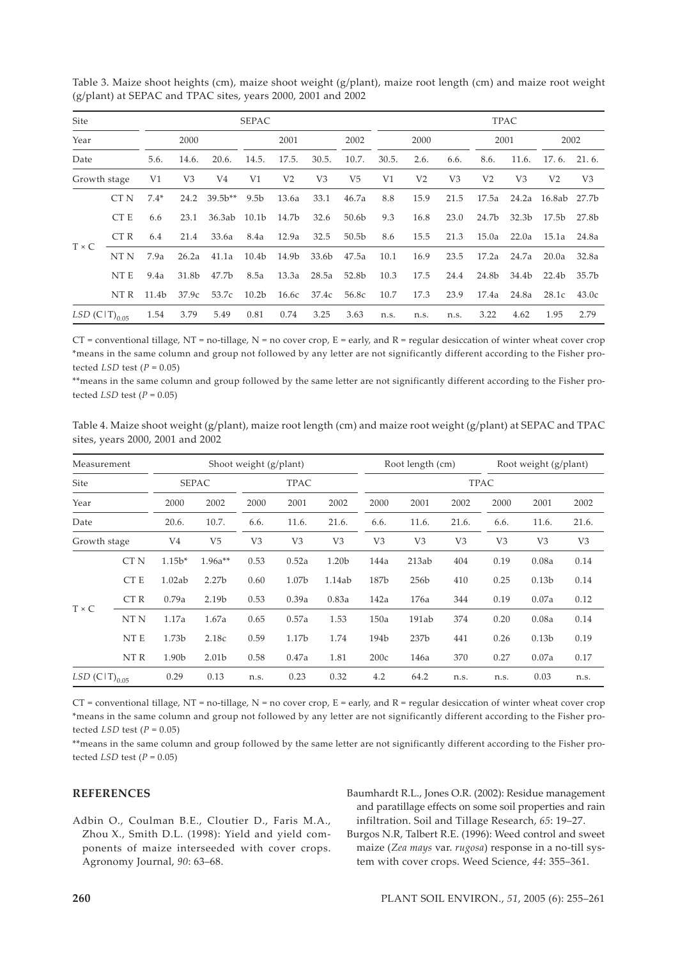| Site                          |      |                   | SEPAC |              |                   |                |       |                   |       |                | <b>TPAC</b>    |                |                   |                |       |  |  |
|-------------------------------|------|-------------------|-------|--------------|-------------------|----------------|-------|-------------------|-------|----------------|----------------|----------------|-------------------|----------------|-------|--|--|
| Year                          |      | 2000              |       |              | 2001              |                |       | 2002              | 2000  |                |                | 2001           |                   | 2002           |       |  |  |
| Date                          |      | 5.6.              | 14.6. | 20.6.        | 14.5.             | 17.5.          | 30.5. | 10.7.             | 30.5. | 2.6.           | 6.6.           | 8.6.           | 11.6.             | 17.6.          | 21.6. |  |  |
| Growth stage                  |      | V1                | V3    | V4           | V1                | V <sub>2</sub> | V3    | V <sub>5</sub>    | V1    | V <sub>2</sub> | V <sub>3</sub> | V <sub>2</sub> | V3                | V <sub>2</sub> | V3    |  |  |
|                               | CT N | $7.4*$            | 24.2  | $39.5b**$    | 9.5b              | 13.6a          | 33.1  | 46.7a             | 8.8   | 15.9           | 21.5           | 17.5a          |                   | 24.2a 16.8ab   | 27.7b |  |  |
|                               | CT E | 6.6               | 23.1  | 36.3ab 10.1b |                   | 14.7b          | 32.6  | 50.6b             | 9.3   | 16.8           | 23.0           | 24.7b          | 32.3 <sub>b</sub> | 17.5b          | 27.8b |  |  |
|                               | CT R | 6.4               | 21.4  | 33.6a        | 8.4a              | 12.9a          | 32.5  | 50.5 <sub>b</sub> | 8.6   | 15.5           | 21.3           | 15.0a          | 22.0a             | 15.1a 24.8a    |       |  |  |
| $T \times C$                  | NT N | 7.9a              | 26.2a | 41.1a        | 10.4b             | 14.9b          | 33.6b | 47.5a             | 10.1  | 16.9           | 23.5           | 17.2a          | 24.7a             | 20.0a 32.8a    |       |  |  |
|                               | NT E | 9.4a              | 31.8b | 47.7b        | 8.5a              | 13.3a          | 28.5a | 52.8b             | 10.3  | 17.5           | 24.4           | 24.8b          | 34.4b             | 22.4b          | 35.7b |  |  |
|                               | NT R | 11.4 <sub>b</sub> | 37.9c | 53.7c        | 10.2 <sub>b</sub> | 16.6с          | 37.4c | 56.8c             | 10.7  | 17.3           | 23.9           | 17.4a          | 24.8a             | 28.1c          | 43.0c |  |  |
| $LSD$ (C   T) <sub>0.05</sub> |      | 1.54              | 3.79  | 5.49         | 0.81              | 0.74           | 3.25  | 3.63              | n.s.  | n.s.           | n.s.           | 3.22           | 4.62              | 1.95           | 2.79  |  |  |

Table 3. Maize shoot heights (cm), maize shoot weight (g/plant), maize root length (cm) and maize root weight (g/plant) at SEPAC and TPAC sites, years 2000, 2001 and 2002

 $CT$  = conventional tillage, NT = no-tillage, N = no cover crop, E = early, and R = regular desiccation of winter wheat cover crop \*means in the same column and group not followed by any letter are not significantly different according to the Fisher protected *LSD* test  $(P = 0.05)$ 

\*\*means in the same column and group followed by the same letter are not significantly different according to the Fisher protected *LSD* test  $(P = 0.05)$ 

Table 4. Maize shoot weight (g/plant), maize root length (cm) and maize root weight (g/plant) at SEPAC and TPAC sites, years 2000, 2001 and 2002

| Measurement                   |                 |                |                   | Shoot weight (g/plant) |                |                |                | Root length (cm) |                |                | Root weight (g/plant) |                |  |  |
|-------------------------------|-----------------|----------------|-------------------|------------------------|----------------|----------------|----------------|------------------|----------------|----------------|-----------------------|----------------|--|--|
| Site                          |                 |                | SEPAC             | TPAC                   |                |                | TPAC           |                  |                |                |                       |                |  |  |
| Year                          |                 | 2000           | 2002              | 2000                   | 2001           | 2002           | 2000           | 2001             | 2002           | 2000           | 2001                  | 2002           |  |  |
| Date                          |                 | 20.6.          | 10.7.             | 6.6.                   | 11.6.          | 21.6.          | 6.6.           | 11.6.            | 21.6.          | 6.6.           | 11.6.                 | 21.6.          |  |  |
| Growth stage                  |                 | V <sub>4</sub> | V <sub>5</sub>    | V3                     | V <sub>3</sub> | V <sub>3</sub> | V <sub>3</sub> | V <sub>3</sub>   | V <sub>3</sub> | V <sub>3</sub> | V <sub>3</sub>        | V <sub>3</sub> |  |  |
|                               | CT <sub>N</sub> | $1.15b*$       | $1.96a**$         | 0.53                   | 0.52a          | 1.20b          | 144a           | 213ab            | 404            | 0.19           | 0.08a                 | 0.14           |  |  |
|                               | CT E            | 1.02ab         | 2.27 <sub>b</sub> | 0.60                   | 1.07b          | 1.14ab         | 187b           | 256b             | 410            | 0.25           | 0.13 <sub>b</sub>     | 0.14           |  |  |
|                               | CT R            | 0.79a          | 2.19b             | 0.53                   | 0.39a          | 0.83a          | 142a           | 176a             | 344            | 0.19           | 0.07a                 | 0.12           |  |  |
| $T \times C$                  | NT <sub>N</sub> | 1.17a          | 1.67a             | 0.65                   | 0.57a          | 1.53           | 150a           | 191ab            | 374            | 0.20           | 0.08a                 | 0.14           |  |  |
|                               | NT E            | 1.73b          | 2.18c             | 0.59                   | 1.17b          | 1.74           | 194b           | 237b             | 441            | 0.26           | 0.13 <sub>b</sub>     | 0.19           |  |  |
|                               | NT R            | 1.90b          | 2.01 <sub>b</sub> | 0.58                   | 0.47a          | 1.81           | 200c           | 146a             | 370            | 0.27           | 0.07a                 | 0.17           |  |  |
| $LSD$ (C   T) <sub>0.05</sub> |                 | 0.29           | 0.13              | n.s.                   | 0.23           | 0.32           | 4.2            | 64.2             | n.s.           | n.s.           | 0.03                  | n.s.           |  |  |

 $CT$  = conventional tillage, NT = no-tillage, N = no cover crop, E = early, and R = regular desiccation of winter wheat cover crop \*means in the same column and group not followed by any letter are not significantly different according to the Fisher protected *LSD* test  $(P = 0.05)$ 

\*\*means in the same column and group followed by the same letter are not significantly different according to the Fisher protected *LSD* test  $(P = 0.05)$ 

### **REFERENCES**

Adbin O., Coulman B.E., Cloutier D., Faris M.A., Zhou X., Smith D.L. (1998): Yield and yield components of maize interseeded with cover crops. Agronomy Journal, *90*: 63–68.

Baumhardt R.L., Jones O.R. (2002): Residue management and paratillage effects on some soil properties and rain infiltration. Soil and Tillage Research, *65*: 19–27.

Burgos N.R, Talbert R.E. (1996): Weed control and sweet maize (*Zea mays* var. *rugosa*) response in a no-till system with cover crops. Weed Science, *44*: 355–361.